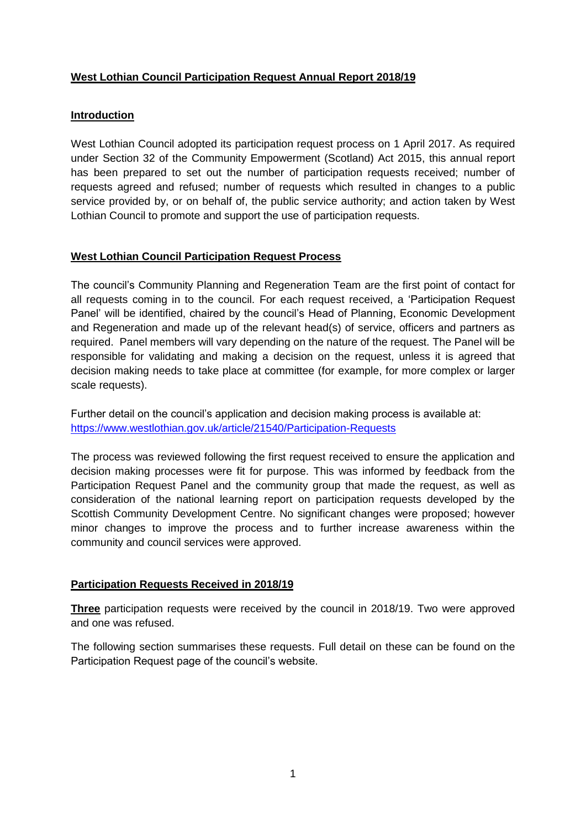# **West Lothian Council Participation Request Annual Report 2018/19**

### **Introduction**

West Lothian Council adopted its participation request process on 1 April 2017. As required under Section 32 of the Community Empowerment (Scotland) Act 2015, this annual report has been prepared to set out the number of participation requests received; number of requests agreed and refused; number of requests which resulted in changes to a public service provided by, or on behalf of, the public service authority; and action taken by West Lothian Council to promote and support the use of participation requests.

### **West Lothian Council Participation Request Process**

The council's Community Planning and Regeneration Team are the first point of contact for all requests coming in to the council. For each request received, a 'Participation Request Panel' will be identified, chaired by the council's Head of Planning, Economic Development and Regeneration and made up of the relevant head(s) of service, officers and partners as required. Panel members will vary depending on the nature of the request. The Panel will be responsible for validating and making a decision on the request, unless it is agreed that decision making needs to take place at committee (for example, for more complex or larger scale requests).

Further detail on the council's application and decision making process is available at: <https://www.westlothian.gov.uk/article/21540/Participation-Requests>

The process was reviewed following the first request received to ensure the application and decision making processes were fit for purpose. This was informed by feedback from the Participation Request Panel and the community group that made the request, as well as consideration of the national learning report on participation requests developed by the Scottish Community Development Centre. No significant changes were proposed; however minor changes to improve the process and to further increase awareness within the community and council services were approved.

#### **Participation Requests Received in 2018/19**

**Three** participation requests were received by the council in 2018/19. Two were approved and one was refused.

The following section summarises these requests. Full detail on these can be found on the Participation Request page of the council's website.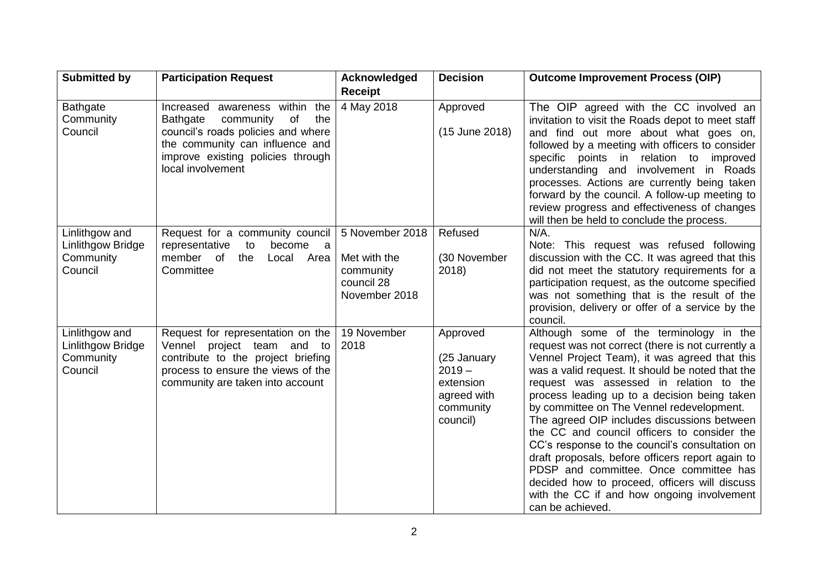| <b>Submitted by</b>                                         | <b>Participation Request</b>                                                                                                                                                                                   | Acknowledged                                                                | <b>Decision</b>                                                                          | <b>Outcome Improvement Process (OIP)</b>                                                                                                                                                                                                                                                                                                                                                                                                                                                                                                                                                                                                                                                                   |
|-------------------------------------------------------------|----------------------------------------------------------------------------------------------------------------------------------------------------------------------------------------------------------------|-----------------------------------------------------------------------------|------------------------------------------------------------------------------------------|------------------------------------------------------------------------------------------------------------------------------------------------------------------------------------------------------------------------------------------------------------------------------------------------------------------------------------------------------------------------------------------------------------------------------------------------------------------------------------------------------------------------------------------------------------------------------------------------------------------------------------------------------------------------------------------------------------|
|                                                             |                                                                                                                                                                                                                | <b>Receipt</b>                                                              |                                                                                          |                                                                                                                                                                                                                                                                                                                                                                                                                                                                                                                                                                                                                                                                                                            |
| <b>Bathgate</b><br>Community<br>Council                     | Increased awareness within the<br><b>Bathgate</b><br>of<br>community<br>the<br>council's roads policies and where<br>the community can influence and<br>improve existing policies through<br>local involvement | 4 May 2018                                                                  | Approved<br>(15 June 2018)                                                               | The OIP agreed with the CC involved an<br>invitation to visit the Roads depot to meet staff<br>and find out more about what goes on,<br>followed by a meeting with officers to consider<br>specific points in relation to<br>improved<br>understanding and involvement in Roads<br>processes. Actions are currently being taken<br>forward by the council. A follow-up meeting to<br>review progress and effectiveness of changes<br>will then be held to conclude the process.                                                                                                                                                                                                                            |
| Linlithgow and<br>Linlithgow Bridge<br>Community<br>Council | Request for a community council<br>representative<br>become<br>to<br>a a<br>member of<br>the<br>Local Area<br>Committee                                                                                        | 5 November 2018<br>Met with the<br>community<br>council 28<br>November 2018 | Refused<br>(30 November<br>2018)                                                         | $N/A$ .<br>Note: This request was refused following<br>discussion with the CC. It was agreed that this<br>did not meet the statutory requirements for a<br>participation request, as the outcome specified<br>was not something that is the result of the<br>provision, delivery or offer of a service by the<br>council.                                                                                                                                                                                                                                                                                                                                                                                  |
| Linlithgow and<br>Linlithgow Bridge<br>Community<br>Council | Request for representation on the<br>Vennel project team and to<br>contribute to the project briefing<br>process to ensure the views of the<br>community are taken into account                                | 19 November<br>2018                                                         | Approved<br>(25 January<br>$2019 -$<br>extension<br>agreed with<br>community<br>council) | Although some of the terminology in the<br>request was not correct (there is not currently a<br>Vennel Project Team), it was agreed that this<br>was a valid request. It should be noted that the<br>request was assessed in relation to the<br>process leading up to a decision being taken<br>by committee on The Vennel redevelopment.<br>The agreed OIP includes discussions between<br>the CC and council officers to consider the<br>CC's response to the council's consultation on<br>draft proposals, before officers report again to<br>PDSP and committee. Once committee has<br>decided how to proceed, officers will discuss<br>with the CC if and how ongoing involvement<br>can be achieved. |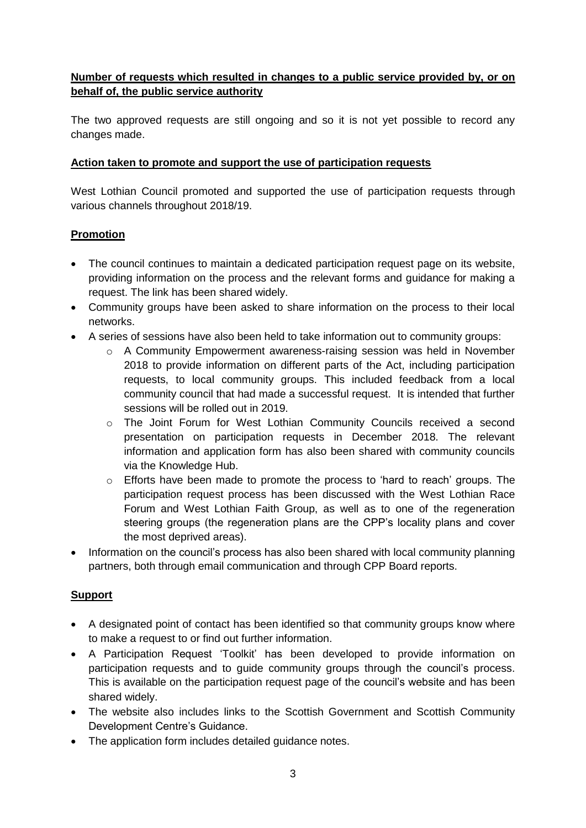# **Number of requests which resulted in changes to a public service provided by, or on behalf of, the public service authority**

The two approved requests are still ongoing and so it is not yet possible to record any changes made.

### **Action taken to promote and support the use of participation requests**

West Lothian Council promoted and supported the use of participation requests through various channels throughout 2018/19.

## **Promotion**

- The council continues to maintain a dedicated participation request page on its website, providing information on the process and the relevant forms and guidance for making a request. The link has been shared widely.
- Community groups have been asked to share information on the process to their local networks.
- A series of sessions have also been held to take information out to community groups:
	- $\circ$  A Community Empowerment awareness-raising session was held in November 2018 to provide information on different parts of the Act, including participation requests, to local community groups. This included feedback from a local community council that had made a successful request. It is intended that further sessions will be rolled out in 2019.
	- o The Joint Forum for West Lothian Community Councils received a second presentation on participation requests in December 2018. The relevant information and application form has also been shared with community councils via the Knowledge Hub.
	- $\circ$  Efforts have been made to promote the process to 'hard to reach' groups. The participation request process has been discussed with the West Lothian Race Forum and West Lothian Faith Group, as well as to one of the regeneration steering groups (the regeneration plans are the CPP's locality plans and cover the most deprived areas).
- Information on the council's process has also been shared with local community planning partners, both through email communication and through CPP Board reports.

#### **Support**

- A designated point of contact has been identified so that community groups know where to make a request to or find out further information.
- A Participation Request 'Toolkit' has been developed to provide information on participation requests and to guide community groups through the council's process. This is available on the participation request page of the council's website and has been shared widely.
- The website also includes links to the Scottish Government and Scottish Community Development Centre's Guidance.
- The application form includes detailed quidance notes.